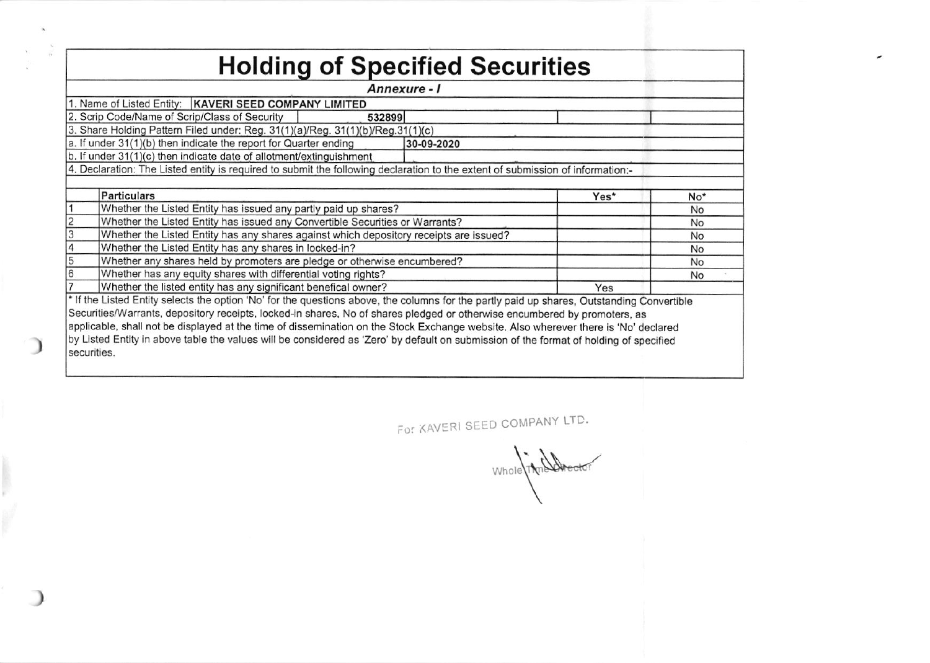| <b>Holding of Specified Securities</b> |                                                                                                                                            |            |                 |    |  |  |  |  |  |  |  |  |  |  |
|----------------------------------------|--------------------------------------------------------------------------------------------------------------------------------------------|------------|-----------------|----|--|--|--|--|--|--|--|--|--|--|
| Annexure - I                           |                                                                                                                                            |            |                 |    |  |  |  |  |  |  |  |  |  |  |
|                                        | 1. Name of Listed Entity:   KAVERI SEED COMPANY LIMITED                                                                                    |            |                 |    |  |  |  |  |  |  |  |  |  |  |
|                                        | 2. Scrip Code/Name of Scrip/Class of Security<br>532899                                                                                    |            |                 |    |  |  |  |  |  |  |  |  |  |  |
|                                        | 3. Share Holding Pattern Filed under: Reg. 31(1)(a)/Reg. 31(1)(b)/Reg.31(1)(c)                                                             |            |                 |    |  |  |  |  |  |  |  |  |  |  |
|                                        | a. If under 31(1)(b) then indicate the report for Quarter ending                                                                           | 30-09-2020 |                 |    |  |  |  |  |  |  |  |  |  |  |
|                                        | b. If under 31(1)(c) then indicate date of allotment/extinguishment                                                                        |            |                 |    |  |  |  |  |  |  |  |  |  |  |
|                                        | 4. Declaration: The Listed entity is required to submit the following declaration to the extent of submission of information:-             |            |                 |    |  |  |  |  |  |  |  |  |  |  |
|                                        |                                                                                                                                            |            |                 |    |  |  |  |  |  |  |  |  |  |  |
|                                        | <b>Particulars</b>                                                                                                                         | Yes*       | No <sup>*</sup> |    |  |  |  |  |  |  |  |  |  |  |
|                                        | Whether the Listed Entity has issued any partly paid up shares?                                                                            |            |                 | No |  |  |  |  |  |  |  |  |  |  |
|                                        | Whether the Listed Entity has issued any Convertible Securities or Warrants?                                                               |            |                 | No |  |  |  |  |  |  |  |  |  |  |
| 3                                      | Whether the Listed Entity has any shares against which depository receipts are issued?                                                     |            |                 | No |  |  |  |  |  |  |  |  |  |  |
| 4                                      | Whether the Listed Entity has any shares in locked-in?                                                                                     |            | No              |    |  |  |  |  |  |  |  |  |  |  |
| 5                                      | Whether any shares held by promoters are pledge or otherwise encumbered?                                                                   |            | <b>No</b>       |    |  |  |  |  |  |  |  |  |  |  |
| 6                                      |                                                                                                                                            | No         |                 |    |  |  |  |  |  |  |  |  |  |  |
|                                        | Whether has any equity shares with differential voting rights?<br>Whether the listed entity has any significant benefical owner?<br>Yes    |            |                 |    |  |  |  |  |  |  |  |  |  |  |
|                                        | * If the Listed Entity selects the option 'No' for the questions above, the columns for the partly paid up shares, Outstanding Convertible |            |                 |    |  |  |  |  |  |  |  |  |  |  |
|                                        | Securities/Warrants, depository receipts, locked-in shares, No of shares pledged or otherwise encumbered by promoters, as                  |            |                 |    |  |  |  |  |  |  |  |  |  |  |
|                                        | applicable, shall not be displayed at the time of dissemination on the Stock Exchange website. Also wherever there is 'No' declared        |            |                 |    |  |  |  |  |  |  |  |  |  |  |
|                                        | by Listed Entity in above table the values will be considered as 'Zero' by default on submission of the format of holding of specified     |            |                 |    |  |  |  |  |  |  |  |  |  |  |
| securities.                            |                                                                                                                                            |            |                 |    |  |  |  |  |  |  |  |  |  |  |
|                                        |                                                                                                                                            |            |                 |    |  |  |  |  |  |  |  |  |  |  |

ı

For KAVERI SEED COMPANY LTD.

Whole Time Director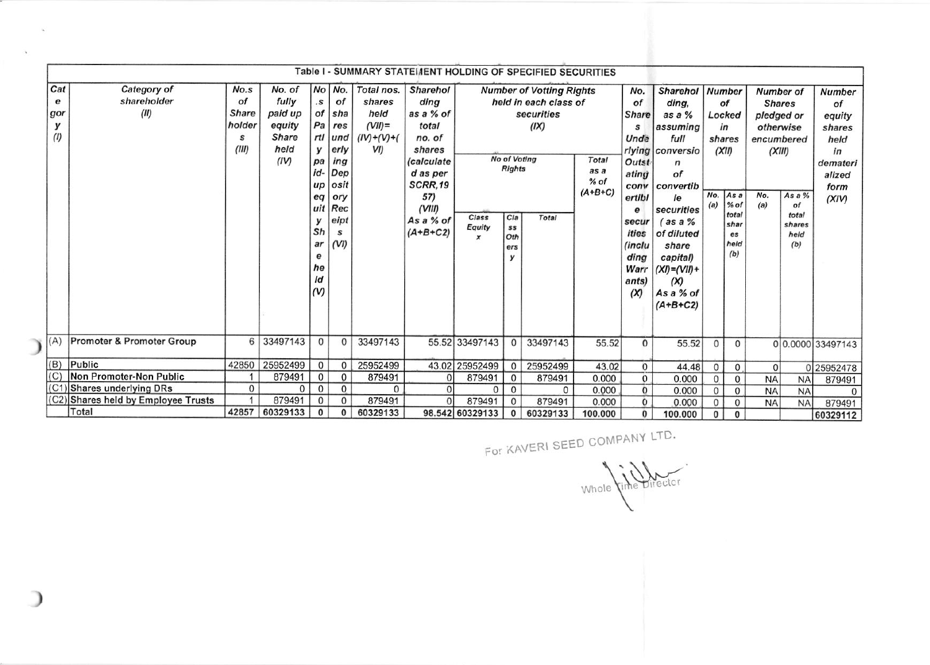|     | Table I - SUMMARY STATEMENT HOLDING OF SPECIFIED SECURITIES |                                                                                       |              |              |              |              |                |                   |                                                              |                                                |                       |           |                         |                  |               |                 |               |                  |                   |
|-----|-------------------------------------------------------------|---------------------------------------------------------------------------------------|--------------|--------------|--------------|--------------|----------------|-------------------|--------------------------------------------------------------|------------------------------------------------|-----------------------|-----------|-------------------------|------------------|---------------|-----------------|---------------|------------------|-------------------|
|     |                                                             |                                                                                       |              |              |              |              |                |                   |                                                              |                                                |                       |           |                         |                  |               |                 |               |                  |                   |
|     | Cat                                                         | Category of                                                                           | No.s         | No. of       |              | No No.       | Total nos.     | <b>Sharehol</b>   | <b>Number of Votting Rights</b>                              |                                                |                       |           |                         | <b>Sharehol</b>  | <b>Number</b> |                 |               | <b>Number of</b> | <b>Number</b>     |
|     | е                                                           | shareholder                                                                           | of           | fully        | $\cdot$ s    | of           | shares         | ding              |                                                              |                                                | held in each class of |           | of                      | ding,            |               | of              | <b>Shares</b> | of               |                   |
|     | gor                                                         | (II)                                                                                  | <b>Share</b> | paid up      | of           | sha          | held           | as a % of         |                                                              |                                                | securities            |           | Share                   | as a %           |               | Locked          | pledged or    |                  | equity            |
|     | у                                                           |                                                                                       | holder       | equity       | Pa           | res          | $(VII)$ =      | total             |                                                              |                                                | (IX)                  |           | s                       | assuming         |               | in              | otherwise     |                  | shares            |
|     | (1)                                                         |                                                                                       | S            | <b>Share</b> | rtl          | lund         | $(IV)+(V)+(V)$ | no. of            |                                                              |                                                |                       |           | Unde                    | full             |               | shares          | encumbered    |                  | held              |
|     |                                                             |                                                                                       | (III)        | held         | у            | erly         | VI)            | shares            |                                                              |                                                |                       |           |                         | rlying conversio | (XII)         |                 | (XIII)        |                  | in                |
|     |                                                             |                                                                                       |              | (IV)         | pa           | ing          |                | <i>(calculate</i> |                                                              | No of Votina<br>Total<br><b>Rights</b><br>as a |                       | Outst     | n                       |                  |               |                 |               | demateri         |                   |
|     |                                                             |                                                                                       |              |              | id-          | Dep          |                | d as per          |                                                              |                                                |                       | ating     | of                      |                  |               |                 | alized        |                  |                   |
|     |                                                             |                                                                                       |              |              | $\mu$        | osit         |                | <b>SCRR.19</b>    | $%$ of<br>$(A+B+C)$                                          |                                                | conv                  | convertib |                         |                  |               |                 | form          |                  |                   |
|     |                                                             |                                                                                       |              |              | eq           | ory          |                | 57)               |                                                              |                                                | ertibl                | le        | No.                     | As a             | No.           | As a $%$        | (XIV)         |                  |                   |
|     |                                                             |                                                                                       |              |              |              | uit Rec      |                | (VIII)            |                                                              |                                                |                       |           | e                       | securities       | (a)           | $%$ of<br>total | (a)           | of<br>total      |                   |
|     |                                                             |                                                                                       |              |              | у            | eipt         |                | As a % of         | Class<br>Cla<br>Total<br>Equity<br>ss<br>Oth<br>$\mathbf{x}$ |                                                |                       | secur     | $\frac{1}{2}$ as a $\%$ |                  | shar          |                 | shares        |                  |                   |
|     |                                                             |                                                                                       |              |              | Sh           | s            |                | $(A+B+C2)$        |                                                              |                                                |                       | ities     | of diluted              |                  | es            |                 | held          |                  |                   |
|     |                                                             |                                                                                       |              |              | ar           | (VI)         |                |                   |                                                              | ers                                            |                       |           | (inclu                  | share            |               | held            |               | (b)              |                   |
|     |                                                             |                                                                                       |              |              | е            |              |                |                   |                                                              | y                                              |                       |           | ding                    | capital)         |               | (b)             |               |                  |                   |
|     |                                                             |                                                                                       |              |              | he           |              |                |                   |                                                              |                                                |                       |           | Warr                    | $(XI) = (VII) +$ |               |                 |               |                  |                   |
|     |                                                             |                                                                                       |              |              | Id           |              |                |                   |                                                              |                                                |                       |           | ants)                   | (X)              |               |                 |               |                  |                   |
|     |                                                             |                                                                                       |              |              | ( V)         |              |                |                   |                                                              |                                                |                       |           | (X)                     | As a % of        |               |                 |               |                  |                   |
|     |                                                             |                                                                                       |              |              |              |              |                |                   |                                                              |                                                |                       |           |                         | $(A+B+C2)$       |               |                 |               |                  |                   |
|     |                                                             |                                                                                       |              |              |              |              |                |                   |                                                              |                                                |                       |           |                         |                  |               |                 |               |                  |                   |
|     |                                                             |                                                                                       |              |              |              |              |                |                   |                                                              |                                                |                       |           |                         |                  |               |                 |               |                  |                   |
| (A) |                                                             | Promoter & Promoter Group                                                             | 6            | 33497143     | $\mathbf{0}$ | $\mathbf{0}$ | 33497143       |                   | 55.52 33497143                                               | $\mathbf{0}$                                   | 33497143              | 55.52     | $\Omega$                | 55.52            | $\mathbf{0}$  | $\mathbf{0}$    |               |                  | 0 0.0000 33497143 |
|     |                                                             |                                                                                       |              |              |              |              |                |                   |                                                              |                                                |                       |           |                         |                  |               |                 |               |                  |                   |
| (B) |                                                             | Public                                                                                | 42850        | 25952499     | $\mathbf{0}$ | 0            | 25952499       |                   | 43.02 25952499                                               | 0                                              | 25952499              | 43.02     | $\mathbf{0}$            | 44.48            | $\mathbf 0$   | $\mathbf 0$     | 0             |                  | 0 25952478        |
|     | (C)                                                         | Non Promoter-Non Public                                                               |              | 879491       | $\mathbf{0}$ | $\mathbf{0}$ | 879491         | $\Omega$          | 879491                                                       | $\mathbf{0}$                                   | 879491                | 0.000     | $\mathbf{0}$            | 0.000            | 0             | $\mathbf 0$     | <b>NA</b>     | <b>NA</b>        | 879491            |
|     |                                                             | (C1) Shares underlying DRs                                                            | $\mathbf{0}$ | 0            | $\mathbf{0}$ | $\Omega$     | 0              |                   | $\mathbf{0}$                                                 | $\mathbf 0$                                    | $\Omega$              | 0.000     | $\Omega$                | 0.000            | $\mathbf 0$   | $\mathbf 0$     | <b>NA</b>     | <b>NA</b>        | $\Omega$          |
|     |                                                             | (C2) Shares held by Employee Trusts                                                   |              | 879491       | $\mathbf{0}$ | 0            | 879491         | $\Omega$          | 879491                                                       | $\mathbf{0}$                                   | 879491                | 0.000     | $\Omega$                | 0.000            | $\mathbf{0}$  | $\mathbf 0$     | <b>NA</b>     | <b>NA</b>        | 879491            |
|     |                                                             | Total<br>42857<br>60329133<br>$\mathbf{0}$<br>60329133<br>$\bf{0}$<br>98.542 60329133 |              |              |              |              |                |                   | 0                                                            | 60329133                                       | 100.000               | 0         | 100,000                 | 0                | 0             |                 |               | 60329112         |                   |

 $\mathbf{I}$ 

 $\Delta$ 

For KAVERI SEEo coMPANY LTD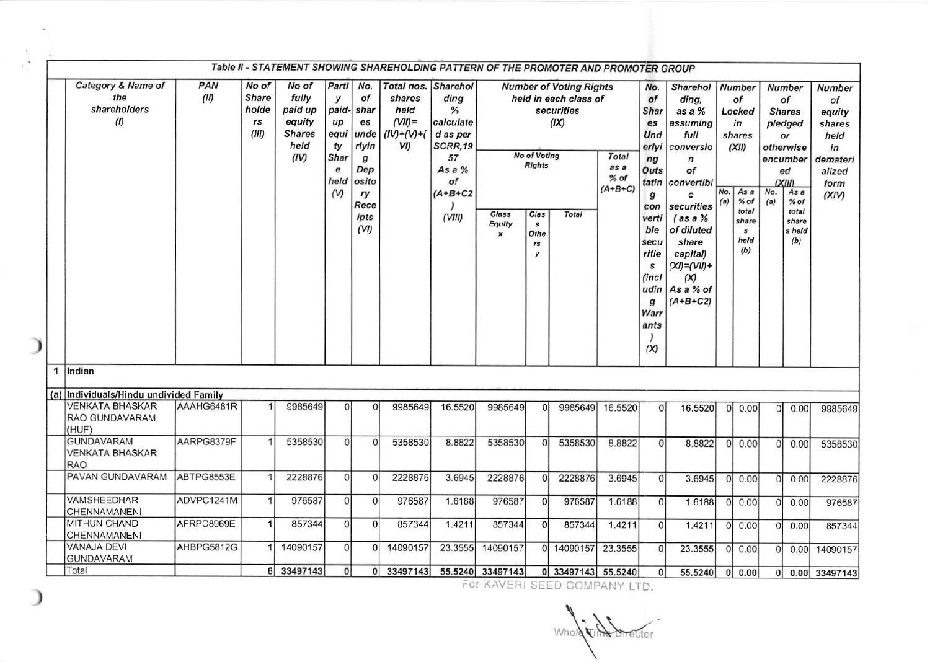|   | Table II - STATEMENT SHOWING SHAREHOLDING PATTERN OF THE PROMOTER AND PROMOTER GROUP |             |                                        |                                                                      |                                                                             |                                                                                                            |                                                                             |                                                                                            |                                     |                                                               |                                                                                        |                                           |                                                                                                                                                                      |                                                                                                                                                                                                                       |                |                                                                                                                           |                |                                                                                                                                                   |                                                                                              |
|---|--------------------------------------------------------------------------------------|-------------|----------------------------------------|----------------------------------------------------------------------|-----------------------------------------------------------------------------|------------------------------------------------------------------------------------------------------------|-----------------------------------------------------------------------------|--------------------------------------------------------------------------------------------|-------------------------------------|---------------------------------------------------------------|----------------------------------------------------------------------------------------|-------------------------------------------|----------------------------------------------------------------------------------------------------------------------------------------------------------------------|-----------------------------------------------------------------------------------------------------------------------------------------------------------------------------------------------------------------------|----------------|---------------------------------------------------------------------------------------------------------------------------|----------------|---------------------------------------------------------------------------------------------------------------------------------------------------|----------------------------------------------------------------------------------------------|
|   | Category & Name of<br>the<br>shareholders<br>$\langle l \rangle$                     | PAN<br>(II) | No of<br>Share<br>holde<br>rs<br>(III) | No of<br>fully<br>paid up<br>equity<br><b>Shares</b><br>held<br>(IV) | Partl<br>у<br>paid-<br>$\mu$<br>equi<br>ty<br>Shar<br>e<br>held<br>$\omega$ | No.<br>of<br>shar<br>es<br>unde<br>rlyin<br>$\boldsymbol{g}$<br>Dep<br>osito<br>ry<br>Rece<br>ipts<br>(VI) | Total nos. Sharehol<br>shares<br>held<br>$(VII)$ =<br>$(IV)+(V)+(V)$<br>VI) | ding<br>%<br>calculate<br>d as per<br>SCRR,19<br>57<br>As a %<br>of<br>$(A+B+C2$<br>(VIII) | Class<br>Equity<br>$\boldsymbol{x}$ | No of Voting<br><b>Rights</b><br>Clas<br>s<br>Othe<br>rs<br>y | <b>Number of Voting Rights</b><br>held in each class of<br>securities<br>(IX)<br>Total | <b>Total</b><br>as a<br>% of<br>$(A+B+C)$ | No.<br>of<br><b>Shar</b><br>es<br>Und<br>erlyi<br>ng<br>Outs<br>tatin<br>g<br>con<br>verti<br>ble<br>secu<br>ritie<br>s<br>(incl<br>udin<br>g<br>Warr<br>ants<br>(X) | <b>Sharehol</b><br>ding,<br>as a %<br>assuming<br>full<br>conversio<br>n<br>of<br>convertibl<br>е<br>securities<br>$($ as a $%$<br>of diluted<br>share<br>capital)<br>$(XI)=(VII)+$<br>(x)<br>As a % of<br>$(A+B+C2)$ | No.<br>(a)     | <b>Number</b><br>of<br>Locked<br>in<br>shares<br>(XII)<br>As a<br>$%$ of<br>total<br>share<br>$\mathbf{s}$<br>held<br>(b) | No.<br>(a)     | <b>Number</b><br>of<br><b>Shares</b><br>pledged<br>or<br>otherwise<br>encumber<br>ed<br>(XIII)<br>As a<br>% of<br>total<br>share<br>s held<br>(b) | <b>Number</b><br>of<br>equity<br>shares<br>held<br>in<br>demateri<br>alized<br>form<br>(XIV) |
| 1 | Indian                                                                               |             |                                        |                                                                      |                                                                             |                                                                                                            |                                                                             |                                                                                            |                                     |                                                               |                                                                                        |                                           |                                                                                                                                                                      |                                                                                                                                                                                                                       |                |                                                                                                                           |                |                                                                                                                                                   |                                                                                              |
|   | (a) Individuals/Hindu undivided Family                                               |             |                                        |                                                                      |                                                                             |                                                                                                            |                                                                             |                                                                                            |                                     |                                                               |                                                                                        |                                           |                                                                                                                                                                      |                                                                                                                                                                                                                       |                |                                                                                                                           |                |                                                                                                                                                   |                                                                                              |
|   | <b>VENKATA BHASKAR</b><br>RAO GUNDAVARAM<br>(HUF)                                    | AAAHG6481R  |                                        | 9985649                                                              | $\Omega$                                                                    | $\Omega$                                                                                                   | 9985649                                                                     | 16.5520                                                                                    | 9985649                             | O                                                             | 9985649                                                                                | 16.5520                                   | $\Omega$                                                                                                                                                             | 16.5520                                                                                                                                                                                                               | $\Omega$       | 0.00                                                                                                                      | $\Omega$       | 0.00                                                                                                                                              | 9985649                                                                                      |
|   | GUNDAVARAM<br>VENKATA BHASKAR<br>RAO                                                 | AARPG8379F  |                                        | 5358530                                                              | $\Omega$                                                                    | $\Omega$                                                                                                   | 5358530                                                                     | 8.8822                                                                                     | 5358530                             | $\Omega$                                                      | 5358530                                                                                | 8.8822                                    | 0                                                                                                                                                                    | 8.8822                                                                                                                                                                                                                |                | 0 0.00                                                                                                                    | $\overline{0}$ | 0.00                                                                                                                                              | 5358530                                                                                      |
|   | PAVAN GUNDAVARAM                                                                     | ABTPG8553E  | 1                                      | 2228876                                                              | $\overline{0}$                                                              | $\Omega$                                                                                                   | 2228876                                                                     | 3.6945                                                                                     | 2228876                             | $\Omega$                                                      | 2228876                                                                                | 3.6945                                    | 0                                                                                                                                                                    | 3.6945                                                                                                                                                                                                                | <sub>0</sub>   | 0.00                                                                                                                      | $\overline{0}$ | 0.00                                                                                                                                              | 2228876                                                                                      |
|   | <b>VAMSHEEDHAR</b><br><b>CHENNAMANENI</b>                                            | ADVPC1241M  | 1                                      | 976587                                                               | $\Omega$                                                                    | $\Omega$                                                                                                   | 976587                                                                      | 1.6188                                                                                     | 976587                              | $\Omega$                                                      | 976587                                                                                 | 1.6188                                    | $\Omega$                                                                                                                                                             | 1.6188                                                                                                                                                                                                                | 0l             | 0.00                                                                                                                      | $\Omega$       | 0.00                                                                                                                                              | 976587                                                                                       |
|   | MITHUN CHAND<br><b>CHENNAMANENI</b>                                                  | AFRPC8969E  | $\mathbf{1}$                           | 857344                                                               | $\Omega$                                                                    | $\Omega$                                                                                                   | 857344                                                                      | 1.4211                                                                                     | 857344                              | $\Omega$                                                      | 857344                                                                                 | 1.4211                                    | $\Omega$                                                                                                                                                             | 1.4211                                                                                                                                                                                                                | $\overline{0}$ | 0.00                                                                                                                      | $\Omega$       | 0.00                                                                                                                                              | 857344                                                                                       |
|   | <b>VANAJA DEVI</b><br><b>GUNDAVARAM</b>                                              | AHBPG5812G  | 1                                      | 14090157                                                             | $\Omega$                                                                    | $\Omega$                                                                                                   | 14090157                                                                    | 23.3555                                                                                    | 14090157                            | $\Omega$                                                      | 14090157                                                                               | 23.3555                                   | 0                                                                                                                                                                    | 23.3555                                                                                                                                                                                                               | $\Omega$       | 0.00                                                                                                                      | $\Omega$       | 0.00                                                                                                                                              | 14090157                                                                                     |
|   | Total                                                                                |             | 6                                      | 33497143                                                             | $\overline{0}$                                                              | 0 <sup>1</sup>                                                                                             | 33497143                                                                    |                                                                                            | 55.5240 33497143                    |                                                               | 0 33497143 55.5240                                                                     |                                           | $\Omega$                                                                                                                                                             | 55.5240                                                                                                                                                                                                               |                | 0   0.00                                                                                                                  | 0              |                                                                                                                                                   | 0.00 33497143                                                                                |

D

For KAVERI SEED COMPANY LTD.

Whole **Vine Director**